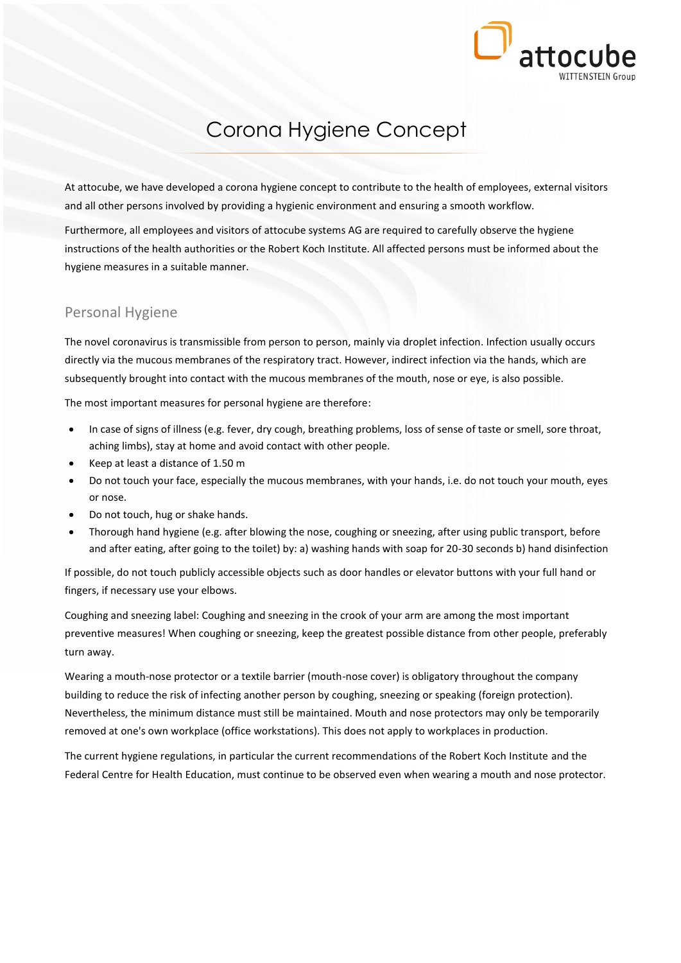

# Corona Hygiene Concept

At attocube, we have developed a corona hygiene concept to contribute to the health of employees, external visitors and all other persons involved by providing a hygienic environment and ensuring a smooth workflow.

Furthermore, all employees and visitors of attocube systems AG are required to carefully observe the hygiene instructions of the health authorities or the Robert Koch Institute. All affected persons must be informed about the hygiene measures in a suitable manner.

## Personal Hygiene

The novel coronavirus is transmissible from person to person, mainly via droplet infection. Infection usually occurs directly via the mucous membranes of the respiratory tract. However, indirect infection via the hands, which are subsequently brought into contact with the mucous membranes of the mouth, nose or eye, is also possible.

The most important measures for personal hygiene are therefore:

- In case of signs of illness (e.g. fever, dry cough, breathing problems, loss of sense of taste or smell, sore throat, aching limbs), stay at home and avoid contact with other people.
- Keep at least a distance of 1.50 m
- Do not touch your face, especially the mucous membranes, with your hands, i.e. do not touch your mouth, eyes or nose.
- Do not touch, hug or shake hands.
- Thorough hand hygiene (e.g. after blowing the nose, coughing or sneezing, after using public transport, before and after eating, after going to the toilet) by: a) washing hands with soap for 20-30 seconds b) hand disinfection

If possible, do not touch publicly accessible objects such as door handles or elevator buttons with your full hand or fingers, if necessary use your elbows.

Coughing and sneezing label: Coughing and sneezing in the crook of your arm are among the most important preventive measures! When coughing or sneezing, keep the greatest possible distance from other people, preferably turn away.

Wearing a mouth-nose protector or a textile barrier (mouth-nose cover) is obligatory throughout the company building to reduce the risk of infecting another person by coughing, sneezing or speaking (foreign protection). Nevertheless, the minimum distance must still be maintained. Mouth and nose protectors may only be temporarily removed at one's own workplace (office workstations). This does not apply to workplaces in production.

The current hygiene regulations, in particular the current recommendations of the Robert Koch Institute and the Federal Centre for Health Education, must continue to be observed even when wearing a mouth and nose protector.